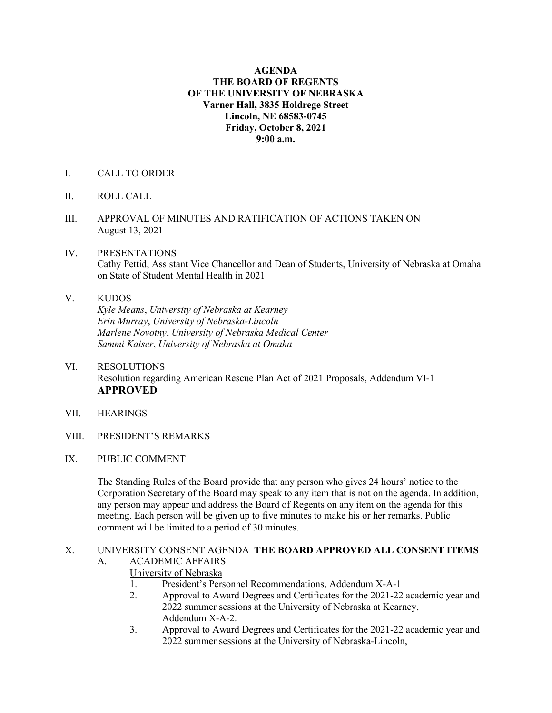#### **AGENDA THE BOARD OF REGENTS OF THE UNIVERSITY OF NEBRASKA Varner Hall, 3835 Holdrege Street Lincoln, NE 68583-0745 Friday, October 8, 2021 9:00 a.m.**

- I. CALL TO ORDER
- II. ROLL CALL
- III. APPROVAL OF MINUTES AND RATIFICATION OF ACTIONS TAKEN ON August 13, 2021
- IV. PRESENTATIONS Cathy Pettid, Assistant Vice Chancellor and Dean of Students, University of Nebraska at Omaha on State of Student Mental Health in 2021
- V. KUDOS *Kyle Means*, *University of Nebraska at Kearney Erin Murray*, *University of Nebraska-Lincoln Marlene Novotny*, *University of Nebraska Medical Center Sammi Kaiser*, *University of Nebraska at Omaha*
- VI. RESOLUTIONS Resolution regarding American Rescue Plan Act of 2021 Proposals, Addendum VI-1 **APPROVED**
- VII. HEARINGS
- VIII. PRESIDENT'S REMARKS
- IX. PUBLIC COMMENT

The Standing Rules of the Board provide that any person who gives 24 hours' notice to the Corporation Secretary of the Board may speak to any item that is not on the agenda. In addition, any person may appear and address the Board of Regents on any item on the agenda for this meeting. Each person will be given up to five minutes to make his or her remarks. Public comment will be limited to a period of 30 minutes.

# X. UNIVERSITY CONSENT AGENDA **THE BOARD APPROVED ALL CONSENT ITEMS**

- A. ACADEMIC AFFAIRS
	- University of Nebraska
	- 1. President's Personnel Recommendations, Addendum X-A-1
	- 2. Approval to Award Degrees and Certificates for the 2021-22 academic year and 2022 summer sessions at the University of Nebraska at Kearney, Addendum X-A-2.
	- 3. Approval to Award Degrees and Certificates for the 2021-22 academic year and 2022 summer sessions at the University of Nebraska-Lincoln,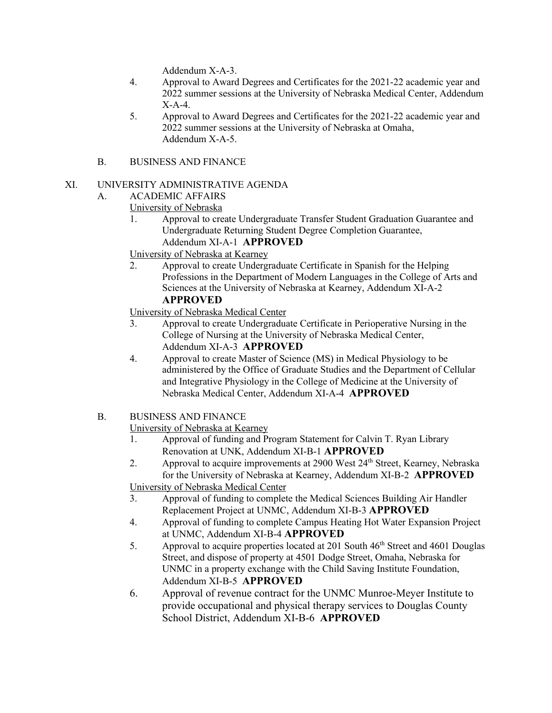Addendum X-A-3.

- 4. Approval to Award Degrees and Certificates for the 2021-22 academic year and 2022 summer sessions at the University of Nebraska Medical Center, Addendum X-A-4.
- 5. Approval to Award Degrees and Certificates for the 2021-22 academic year and 2022 summer sessions at the University of Nebraska at Omaha, Addendum X-A-5.
- B. BUSINESS AND FINANCE

## XI. UNIVERSITY ADMINISTRATIVE AGENDA

- A. ACADEMIC AFFAIRS
	- University of Nebraska
		- 1. Approval to create Undergraduate Transfer Student Graduation Guarantee and Undergraduate Returning Student Degree Completion Guarantee, Addendum XI-A-1 **APPROVED**
	- University of Nebraska at Kearney
	- 2. Approval to create Undergraduate Certificate in Spanish for the Helping Professions in the Department of Modern Languages in the College of Arts and Sciences at the University of Nebraska at Kearney, Addendum XI-A-2 **APPROVED**

University of Nebraska Medical Center

- 3. Approval to create Undergraduate Certificate in Perioperative Nursing in the College of Nursing at the University of Nebraska Medical Center, Addendum XI-A-3 **APPROVED**
- 4. Approval to create Master of Science (MS) in Medical Physiology to be administered by the Office of Graduate Studies and the Department of Cellular and Integrative Physiology in the College of Medicine at the University of Nebraska Medical Center, Addendum XI-A-4 **APPROVED**
- B. BUSINESS AND FINANCE

University of Nebraska at Kearney

- 1. Approval of funding and Program Statement for Calvin T. Ryan Library Renovation at UNK, Addendum XI-B-1 **APPROVED**
- 2. Approval to acquire improvements at 2900 West 24<sup>th</sup> Street, Kearney, Nebraska for the University of Nebraska at Kearney, Addendum XI-B-2 **APPROVED**
- University of Nebraska Medical Center
- 3. Approval of funding to complete the Medical Sciences Building Air Handler Replacement Project at UNMC, Addendum XI-B-3 **APPROVED**
- 4. Approval of funding to complete Campus Heating Hot Water Expansion Project at UNMC, Addendum XI-B-4 **APPROVED**
- 5. Approval to acquire properties located at 201 South 46<sup>th</sup> Street and 4601 Douglas Street, and dispose of property at 4501 Dodge Street, Omaha, Nebraska for UNMC in a property exchange with the Child Saving Institute Foundation, Addendum XI-B-5 **APPROVED**
- 6. Approval of revenue contract for the UNMC Munroe-Meyer Institute to provide occupational and physical therapy services to Douglas County School District, Addendum XI-B-6 **APPROVED**